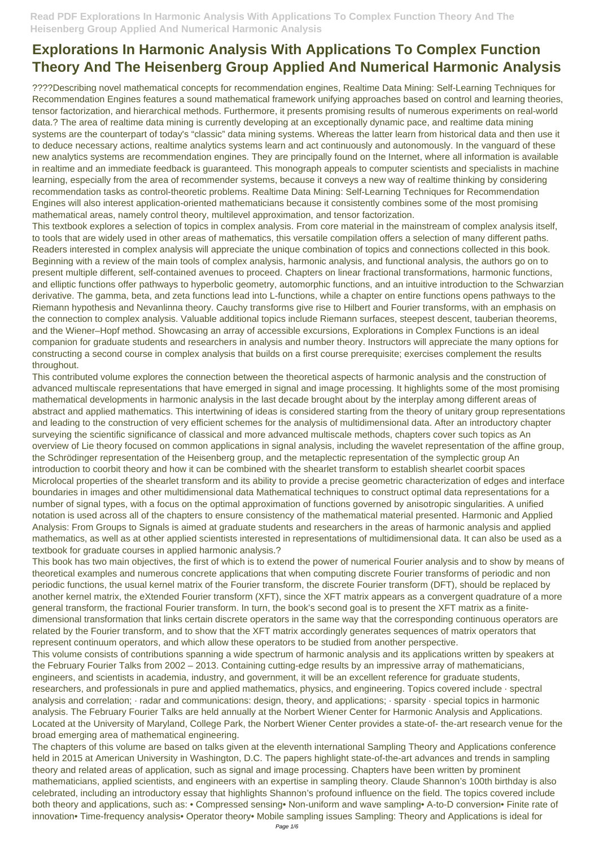????Describing novel mathematical concepts for recommendation engines, Realtime Data Mining: Self-Learning Techniques for Recommendation Engines features a sound mathematical framework unifying approaches based on control and learning theories, tensor factorization, and hierarchical methods. Furthermore, it presents promising results of numerous experiments on real-world data.? The area of realtime data mining is currently developing at an exceptionally dynamic pace, and realtime data mining systems are the counterpart of today's "classic" data mining systems. Whereas the latter learn from historical data and then use it to deduce necessary actions, realtime analytics systems learn and act continuously and autonomously. In the vanguard of these new analytics systems are recommendation engines. They are principally found on the Internet, where all information is available in realtime and an immediate feedback is guaranteed. This monograph appeals to computer scientists and specialists in machine learning, especially from the area of recommender systems, because it conveys a new way of realtime thinking by considering recommendation tasks as control-theoretic problems. Realtime Data Mining: Self-Learning Techniques for Recommendation Engines will also interest application-oriented mathematicians because it consistently combines some of the most promising mathematical areas, namely control theory, multilevel approximation, and tensor factorization.

This textbook explores a selection of topics in complex analysis. From core material in the mainstream of complex analysis itself, to tools that are widely used in other areas of mathematics, this versatile compilation offers a selection of many different paths. Readers interested in complex analysis will appreciate the unique combination of topics and connections collected in this book. Beginning with a review of the main tools of complex analysis, harmonic analysis, and functional analysis, the authors go on to present multiple different, self-contained avenues to proceed. Chapters on linear fractional transformations, harmonic functions, and elliptic functions offer pathways to hyperbolic geometry, automorphic functions, and an intuitive introduction to the Schwarzian derivative. The gamma, beta, and zeta functions lead into L-functions, while a chapter on entire functions opens pathways to the Riemann hypothesis and Nevanlinna theory. Cauchy transforms give rise to Hilbert and Fourier transforms, with an emphasis on the connection to complex analysis. Valuable additional topics include Riemann surfaces, steepest descent, tauberian theorems, and the Wiener–Hopf method. Showcasing an array of accessible excursions, Explorations in Complex Functions is an ideal companion for graduate students and researchers in analysis and number theory. Instructors will appreciate the many options for constructing a second course in complex analysis that builds on a first course prerequisite; exercises complement the results throughout.

This contributed volume explores the connection between the theoretical aspects of harmonic analysis and the construction of advanced multiscale representations that have emerged in signal and image processing. It highlights some of the most promising mathematical developments in harmonic analysis in the last decade brought about by the interplay among different areas of abstract and applied mathematics. This intertwining of ideas is considered starting from the theory of unitary group representations and leading to the construction of very efficient schemes for the analysis of multidimensional data. After an introductory chapter surveying the scientific significance of classical and more advanced multiscale methods, chapters cover such topics as An overview of Lie theory focused on common applications in signal analysis, including the wavelet representation of the affine group, the Schrödinger representation of the Heisenberg group, and the metaplectic representation of the symplectic group An introduction to coorbit theory and how it can be combined with the shearlet transform to establish shearlet coorbit spaces Microlocal properties of the shearlet transform and its ability to provide a precise geometric characterization of edges and interface boundaries in images and other multidimensional data Mathematical techniques to construct optimal data representations for a number of signal types, with a focus on the optimal approximation of functions governed by anisotropic singularities. A unified notation is used across all of the chapters to ensure consistency of the mathematical material presented. Harmonic and Applied Analysis: From Groups to Signals is aimed at graduate students and researchers in the areas of harmonic analysis and applied mathematics, as well as at other applied scientists interested in representations of multidimensional data. It can also be used as a textbook for graduate courses in applied harmonic analysis.?

This book has two main objectives, the first of which is to extend the power of numerical Fourier analysis and to show by means of theoretical examples and numerous concrete applications that when computing discrete Fourier transforms of periodic and non periodic functions, the usual kernel matrix of the Fourier transform, the discrete Fourier transform (DFT), should be replaced by another kernel matrix, the eXtended Fourier transform (XFT), since the XFT matrix appears as a convergent quadrature of a more general transform, the fractional Fourier transform. In turn, the book's second goal is to present the XFT matrix as a finitedimensional transformation that links certain discrete operators in the same way that the corresponding continuous operators are related by the Fourier transform, and to show that the XFT matrix accordingly generates sequences of matrix operators that represent continuum operators, and which allow these operators to be studied from another perspective. This volume consists of contributions spanning a wide spectrum of harmonic analysis and its applications written by speakers at the February Fourier Talks from 2002 – 2013. Containing cutting-edge results by an impressive array of mathematicians, engineers, and scientists in academia, industry, and government, it will be an excellent reference for graduate students, researchers, and professionals in pure and applied mathematics, physics, and engineering. Topics covered include · spectral analysis and correlation; · radar and communications: design, theory, and applications; · sparsity · special topics in harmonic analysis. The February Fourier Talks are held annually at the Norbert Wiener Center for Harmonic Analysis and Applications. Located at the University of Maryland, College Park, the Norbert Wiener Center provides a state-of- the-art research venue for the broad emerging area of mathematical engineering. The chapters of this volume are based on talks given at the eleventh international Sampling Theory and Applications conference held in 2015 at American University in Washington, D.C. The papers highlight state-of-the-art advances and trends in sampling theory and related areas of application, such as signal and image processing. Chapters have been written by prominent mathematicians, applied scientists, and engineers with an expertise in sampling theory. Claude Shannon's 100th birthday is also celebrated, including an introductory essay that highlights Shannon's profound influence on the field. The topics covered include both theory and applications, such as: • Compressed sensing• Non-uniform and wave sampling• A-to-D conversion• Finite rate of innovation• Time-frequency analysis• Operator theory• Mobile sampling issues Sampling: Theory and Applications is ideal for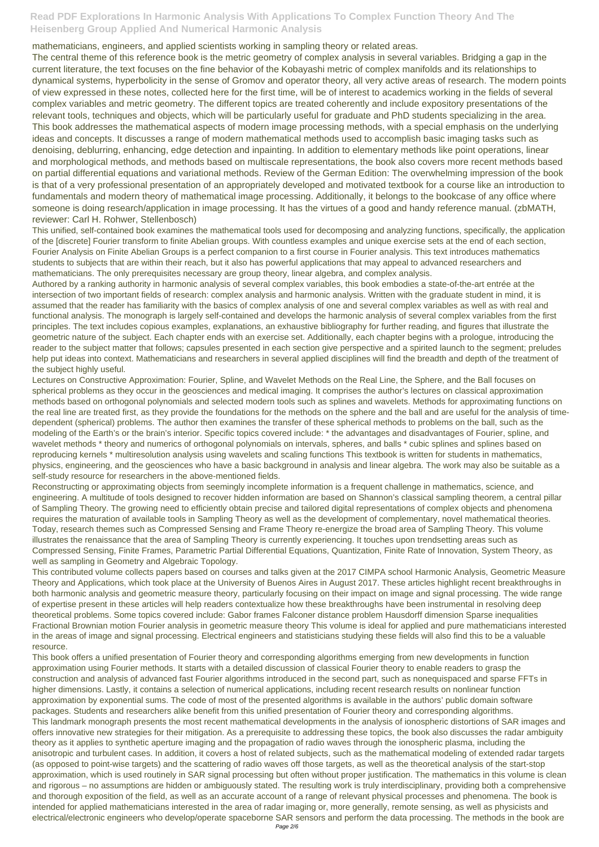mathematicians, engineers, and applied scientists working in sampling theory or related areas.

The central theme of this reference book is the metric geometry of complex analysis in several variables. Bridging a gap in the current literature, the text focuses on the fine behavior of the Kobayashi metric of complex manifolds and its relationships to dynamical systems, hyperbolicity in the sense of Gromov and operator theory, all very active areas of research. The modern points of view expressed in these notes, collected here for the first time, will be of interest to academics working in the fields of several complex variables and metric geometry. The different topics are treated coherently and include expository presentations of the relevant tools, techniques and objects, which will be particularly useful for graduate and PhD students specializing in the area. This book addresses the mathematical aspects of modern image processing methods, with a special emphasis on the underlying ideas and concepts. It discusses a range of modern mathematical methods used to accomplish basic imaging tasks such as denoising, deblurring, enhancing, edge detection and inpainting. In addition to elementary methods like point operations, linear and morphological methods, and methods based on multiscale representations, the book also covers more recent methods based on partial differential equations and variational methods. Review of the German Edition: The overwhelming impression of the book is that of a very professional presentation of an appropriately developed and motivated textbook for a course like an introduction to fundamentals and modern theory of mathematical image processing. Additionally, it belongs to the bookcase of any office where someone is doing research/application in image processing. It has the virtues of a good and handy reference manual. (zbMATH, reviewer: Carl H. Rohwer, Stellenbosch)

This unified, self-contained book examines the mathematical tools used for decomposing and analyzing functions, specifically, the application of the [discrete] Fourier transform to finite Abelian groups. With countless examples and unique exercise sets at the end of each section, Fourier Analysis on Finite Abelian Groups is a perfect companion to a first course in Fourier analysis. This text introduces mathematics students to subjects that are within their reach, but it also has powerful applications that may appeal to advanced researchers and mathematicians. The only prerequisites necessary are group theory, linear algebra, and complex analysis.

Authored by a ranking authority in harmonic analysis of several complex variables, this book embodies a state-of-the-art entrée at the intersection of two important fields of research: complex analysis and harmonic analysis. Written with the graduate student in mind, it is assumed that the reader has familiarity with the basics of complex analysis of one and several complex variables as well as with real and functional analysis. The monograph is largely self-contained and develops the harmonic analysis of several complex variables from the first principles. The text includes copious examples, explanations, an exhaustive bibliography for further reading, and figures that illustrate the geometric nature of the subject. Each chapter ends with an exercise set. Additionally, each chapter begins with a prologue, introducing the reader to the subject matter that follows; capsules presented in each section give perspective and a spirited launch to the segment; preludes help put ideas into context. Mathematicians and researchers in several applied disciplines will find the breadth and depth of the treatment of the subject highly useful.

Lectures on Constructive Approximation: Fourier, Spline, and Wavelet Methods on the Real Line, the Sphere, and the Ball focuses on spherical problems as they occur in the geosciences and medical imaging. It comprises the author's lectures on classical approximation methods based on orthogonal polynomials and selected modern tools such as splines and wavelets. Methods for approximating functions on the real line are treated first, as they provide the foundations for the methods on the sphere and the ball and are useful for the analysis of timedependent (spherical) problems. The author then examines the transfer of these spherical methods to problems on the ball, such as the modeling of the Earth's or the brain's interior. Specific topics covered include: \* the advantages and disadvantages of Fourier, spline, and wavelet methods \* theory and numerics of orthogonal polynomials on intervals, spheres, and balls \* cubic splines and splines based on reproducing kernels \* multiresolution analysis using wavelets and scaling functions This textbook is written for students in mathematics, physics, engineering, and the geosciences who have a basic background in analysis and linear algebra. The work may also be suitable as a self-study resource for researchers in the above-mentioned fields.

Reconstructing or approximating objects from seemingly incomplete information is a frequent challenge in mathematics, science, and engineering. A multitude of tools designed to recover hidden information are based on Shannon's classical sampling theorem, a central pillar of Sampling Theory. The growing need to efficiently obtain precise and tailored digital representations of complex objects and phenomena requires the maturation of available tools in Sampling Theory as well as the development of complementary, novel mathematical theories. Today, research themes such as Compressed Sensing and Frame Theory re-energize the broad area of Sampling Theory. This volume illustrates the renaissance that the area of Sampling Theory is currently experiencing. It touches upon trendsetting areas such as Compressed Sensing, Finite Frames, Parametric Partial Differential Equations, Quantization, Finite Rate of Innovation, System Theory, as well as sampling in Geometry and Algebraic Topology.

This contributed volume collects papers based on courses and talks given at the 2017 CIMPA school Harmonic Analysis, Geometric Measure Theory and Applications, which took place at the University of Buenos Aires in August 2017. These articles highlight recent breakthroughs in both harmonic analysis and geometric measure theory, particularly focusing on their impact on image and signal processing. The wide range of expertise present in these articles will help readers contextualize how these breakthroughs have been instrumental in resolving deep theoretical problems. Some topics covered include: Gabor frames Falconer distance problem Hausdorff dimension Sparse inequalities Fractional Brownian motion Fourier analysis in geometric measure theory This volume is ideal for applied and pure mathematicians interested in the areas of image and signal processing. Electrical engineers and statisticians studying these fields will also find this to be a valuable

#### resource.

This book offers a unified presentation of Fourier theory and corresponding algorithms emerging from new developments in function approximation using Fourier methods. It starts with a detailed discussion of classical Fourier theory to enable readers to grasp the construction and analysis of advanced fast Fourier algorithms introduced in the second part, such as nonequispaced and sparse FFTs in higher dimensions. Lastly, it contains a selection of numerical applications, including recent research results on nonlinear function approximation by exponential sums. The code of most of the presented algorithms is available in the authors' public domain software packages. Students and researchers alike benefit from this unified presentation of Fourier theory and corresponding algorithms. This landmark monograph presents the most recent mathematical developments in the analysis of ionospheric distortions of SAR images and offers innovative new strategies for their mitigation. As a prerequisite to addressing these topics, the book also discusses the radar ambiguity theory as it applies to synthetic aperture imaging and the propagation of radio waves through the ionospheric plasma, including the anisotropic and turbulent cases. In addition, it covers a host of related subjects, such as the mathematical modeling of extended radar targets (as opposed to point-wise targets) and the scattering of radio waves off those targets, as well as the theoretical analysis of the start-stop approximation, which is used routinely in SAR signal processing but often without proper justification. The mathematics in this volume is clean and rigorous – no assumptions are hidden or ambiguously stated. The resulting work is truly interdisciplinary, providing both a comprehensive and thorough exposition of the field, as well as an accurate account of a range of relevant physical processes and phenomena. The book is intended for applied mathematicians interested in the area of radar imaging or, more generally, remote sensing, as well as physicists and electrical/electronic engineers who develop/operate spaceborne SAR sensors and perform the data processing. The methods in the book are Page 2/6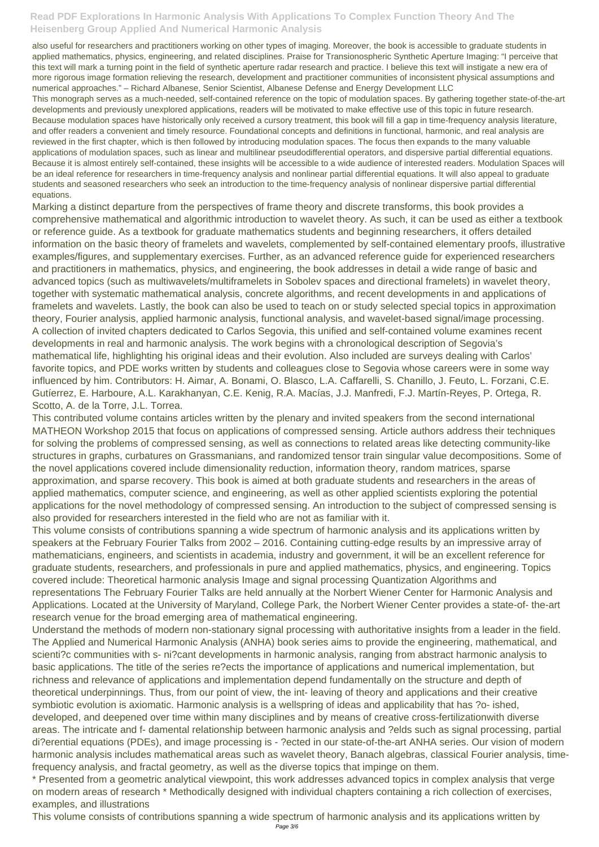also useful for researchers and practitioners working on other types of imaging. Moreover, the book is accessible to graduate students in applied mathematics, physics, engineering, and related disciplines. Praise for Transionospheric Synthetic Aperture Imaging: "I perceive that this text will mark a turning point in the field of synthetic aperture radar research and practice. I believe this text will instigate a new era of more rigorous image formation relieving the research, development and practitioner communities of inconsistent physical assumptions and numerical approaches." – Richard Albanese, Senior Scientist, Albanese Defense and Energy Development LLC

This monograph serves as a much-needed, self-contained reference on the topic of modulation spaces. By gathering together state-of-the-art developments and previously unexplored applications, readers will be motivated to make effective use of this topic in future research. Because modulation spaces have historically only received a cursory treatment, this book will fill a gap in time-frequency analysis literature, and offer readers a convenient and timely resource. Foundational concepts and definitions in functional, harmonic, and real analysis are reviewed in the first chapter, which is then followed by introducing modulation spaces. The focus then expands to the many valuable applications of modulation spaces, such as linear and multilinear pseudodifferential operators, and dispersive partial differential equations. Because it is almost entirely self-contained, these insights will be accessible to a wide audience of interested readers. Modulation Spaces will be an ideal reference for researchers in time-frequency analysis and nonlinear partial differential equations. It will also appeal to graduate students and seasoned researchers who seek an introduction to the time-frequency analysis of nonlinear dispersive partial differential equations.

Marking a distinct departure from the perspectives of frame theory and discrete transforms, this book provides a comprehensive mathematical and algorithmic introduction to wavelet theory. As such, it can be used as either a textbook or reference guide. As a textbook for graduate mathematics students and beginning researchers, it offers detailed information on the basic theory of framelets and wavelets, complemented by self-contained elementary proofs, illustrative examples/figures, and supplementary exercises. Further, as an advanced reference guide for experienced researchers and practitioners in mathematics, physics, and engineering, the book addresses in detail a wide range of basic and advanced topics (such as multiwavelets/multiframelets in Sobolev spaces and directional framelets) in wavelet theory, together with systematic mathematical analysis, concrete algorithms, and recent developments in and applications of framelets and wavelets. Lastly, the book can also be used to teach on or study selected special topics in approximation theory, Fourier analysis, applied harmonic analysis, functional analysis, and wavelet-based signal/image processing. A collection of invited chapters dedicated to Carlos Segovia, this unified and self-contained volume examines recent developments in real and harmonic analysis. The work begins with a chronological description of Segovia's mathematical life, highlighting his original ideas and their evolution. Also included are surveys dealing with Carlos' favorite topics, and PDE works written by students and colleagues close to Segovia whose careers were in some way influenced by him. Contributors: H. Aimar, A. Bonami, O. Blasco, L.A. Caffarelli, S. Chanillo, J. Feuto, L. Forzani, C.E. Gutíerrez, E. Harboure, A.L. Karakhanyan, C.E. Kenig, R.A. Macías, J.J. Manfredi, F.J. Martín-Reyes, P. Ortega, R. Scotto, A. de la Torre, J.L. Torrea.

This contributed volume contains articles written by the plenary and invited speakers from the second international MATHEON Workshop 2015 that focus on applications of compressed sensing. Article authors address their techniques for solving the problems of compressed sensing, as well as connections to related areas like detecting community-like structures in graphs, curbatures on Grassmanians, and randomized tensor train singular value decompositions. Some of the novel applications covered include dimensionality reduction, information theory, random matrices, sparse approximation, and sparse recovery. This book is aimed at both graduate students and researchers in the areas of applied mathematics, computer science, and engineering, as well as other applied scientists exploring the potential applications for the novel methodology of compressed sensing. An introduction to the subject of compressed sensing is also provided for researchers interested in the field who are not as familiar with it.

This volume consists of contributions spanning a wide spectrum of harmonic analysis and its applications written by speakers at the February Fourier Talks from 2002 – 2016. Containing cutting-edge results by an impressive array of mathematicians, engineers, and scientists in academia, industry and government, it will be an excellent reference for graduate students, researchers, and professionals in pure and applied mathematics, physics, and engineering. Topics covered include: Theoretical harmonic analysis Image and signal processing Quantization Algorithms and representations The February Fourier Talks are held annually at the Norbert Wiener Center for Harmonic Analysis and Applications. Located at the University of Maryland, College Park, the Norbert Wiener Center provides a state-of- the-art research venue for the broad emerging area of mathematical engineering.

Understand the methods of modern non-stationary signal processing with authoritative insights from a leader in the field. The Applied and Numerical Harmonic Analysis (ANHA) book series aims to provide the engineering, mathematical, and scienti?c communities with s- ni?cant developments in harmonic analysis, ranging from abstract harmonic analysis to basic applications. The title of the series re?ects the importance of applications and numerical implementation, but richness and relevance of applications and implementation depend fundamentally on the structure and depth of theoretical underpinnings. Thus, from our point of view, the int- leaving of theory and applications and their creative symbiotic evolution is axiomatic. Harmonic analysis is a wellspring of ideas and applicability that has ?o- ished, developed, and deepened over time within many disciplines and by means of creative cross-fertilizationwith diverse areas. The intricate and f- damental relationship between harmonic analysis and ?elds such as signal processing, partial di?erential equations (PDEs), and image processing is - ?ected in our state-of-the-art ANHA series. Our vision of modern harmonic analysis includes mathematical areas such as wavelet theory, Banach algebras, classical Fourier analysis, timefrequency analysis, and fractal geometry, as well as the diverse topics that impinge on them. \* Presented from a geometric analytical viewpoint, this work addresses advanced topics in complex analysis that verge on modern areas of research \* Methodically designed with individual chapters containing a rich collection of exercises, examples, and illustrations

This volume consists of contributions spanning a wide spectrum of harmonic analysis and its applications written by Page 3/6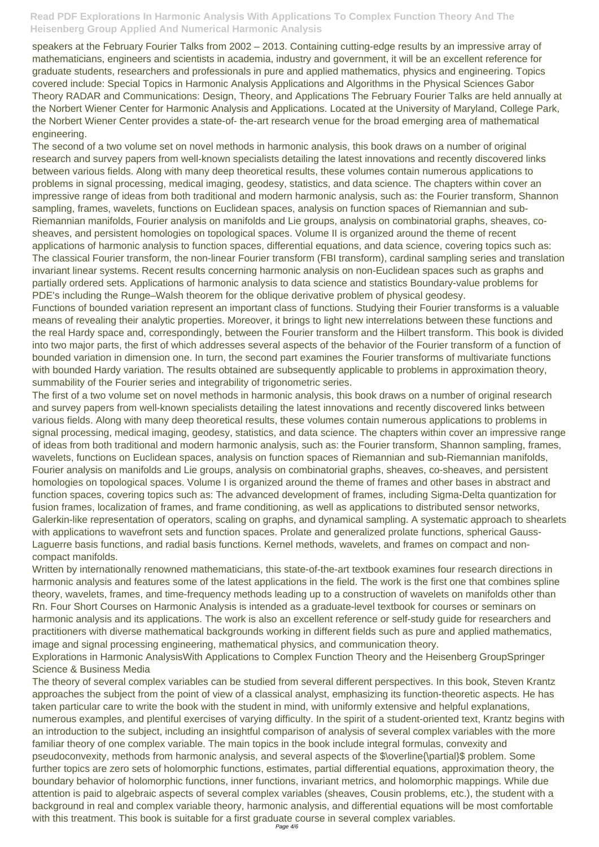speakers at the February Fourier Talks from 2002 – 2013. Containing cutting-edge results by an impressive array of mathematicians, engineers and scientists in academia, industry and government, it will be an excellent reference for graduate students, researchers and professionals in pure and applied mathematics, physics and engineering. Topics covered include: Special Topics in Harmonic Analysis Applications and Algorithms in the Physical Sciences Gabor Theory RADAR and Communications: Design, Theory, and Applications The February Fourier Talks are held annually at the Norbert Wiener Center for Harmonic Analysis and Applications. Located at the University of Maryland, College Park, the Norbert Wiener Center provides a state-of- the-art research venue for the broad emerging area of mathematical engineering.

The second of a two volume set on novel methods in harmonic analysis, this book draws on a number of original research and survey papers from well-known specialists detailing the latest innovations and recently discovered links between various fields. Along with many deep theoretical results, these volumes contain numerous applications to problems in signal processing, medical imaging, geodesy, statistics, and data science. The chapters within cover an impressive range of ideas from both traditional and modern harmonic analysis, such as: the Fourier transform, Shannon sampling, frames, wavelets, functions on Euclidean spaces, analysis on function spaces of Riemannian and sub-Riemannian manifolds, Fourier analysis on manifolds and Lie groups, analysis on combinatorial graphs, sheaves, cosheaves, and persistent homologies on topological spaces. Volume II is organized around the theme of recent applications of harmonic analysis to function spaces, differential equations, and data science, covering topics such as: The classical Fourier transform, the non-linear Fourier transform (FBI transform), cardinal sampling series and translation invariant linear systems. Recent results concerning harmonic analysis on non-Euclidean spaces such as graphs and partially ordered sets. Applications of harmonic analysis to data science and statistics Boundary-value problems for PDE's including the Runge–Walsh theorem for the oblique derivative problem of physical geodesy.

Functions of bounded variation represent an important class of functions. Studying their Fourier transforms is a valuable means of revealing their analytic properties. Moreover, it brings to light new interrelations between these functions and the real Hardy space and, correspondingly, between the Fourier transform and the Hilbert transform. This book is divided into two major parts, the first of which addresses several aspects of the behavior of the Fourier transform of a function of bounded variation in dimension one. In turn, the second part examines the Fourier transforms of multivariate functions with bounded Hardy variation. The results obtained are subsequently applicable to problems in approximation theory, summability of the Fourier series and integrability of trigonometric series.

The theory of several complex variables can be studied from several different perspectives. In this book, Steven Krantz approaches the subject from the point of view of a classical analyst, emphasizing its function-theoretic aspects. He has taken particular care to write the book with the student in mind, with uniformly extensive and helpful explanations, numerous examples, and plentiful exercises of varying difficulty. In the spirit of a student-oriented text, Krantz begins with an introduction to the subject, including an insightful comparison of analysis of several complex variables with the more familiar theory of one complex variable. The main topics in the book include integral formulas, convexity and pseudoconvexity, methods from harmonic analysis, and several aspects of the \$\overline{\partial}\$ problem. Some further topics are zero sets of holomorphic functions, estimates, partial differential equations, approximation theory, the boundary behavior of holomorphic functions, inner functions, invariant metrics, and holomorphic mappings. While due attention is paid to algebraic aspects of several complex variables (sheaves, Cousin problems, etc.), the student with a background in real and complex variable theory, harmonic analysis, and differential equations will be most comfortable with this treatment. This book is suitable for a first graduate course in several complex variables.

The first of a two volume set on novel methods in harmonic analysis, this book draws on a number of original research and survey papers from well-known specialists detailing the latest innovations and recently discovered links between various fields. Along with many deep theoretical results, these volumes contain numerous applications to problems in signal processing, medical imaging, geodesy, statistics, and data science. The chapters within cover an impressive range of ideas from both traditional and modern harmonic analysis, such as: the Fourier transform, Shannon sampling, frames, wavelets, functions on Euclidean spaces, analysis on function spaces of Riemannian and sub-Riemannian manifolds, Fourier analysis on manifolds and Lie groups, analysis on combinatorial graphs, sheaves, co-sheaves, and persistent homologies on topological spaces. Volume I is organized around the theme of frames and other bases in abstract and function spaces, covering topics such as: The advanced development of frames, including Sigma-Delta quantization for fusion frames, localization of frames, and frame conditioning, as well as applications to distributed sensor networks, Galerkin-like representation of operators, scaling on graphs, and dynamical sampling. A systematic approach to shearlets with applications to wavefront sets and function spaces. Prolate and generalized prolate functions, spherical Gauss-Laguerre basis functions, and radial basis functions. Kernel methods, wavelets, and frames on compact and noncompact manifolds.

Written by internationally renowned mathematicians, this state-of-the-art textbook examines four research directions in harmonic analysis and features some of the latest applications in the field. The work is the first one that combines spline theory, wavelets, frames, and time-frequency methods leading up to a construction of wavelets on manifolds other than Rn. Four Short Courses on Harmonic Analysis is intended as a graduate-level textbook for courses or seminars on harmonic analysis and its applications. The work is also an excellent reference or self-study guide for researchers and practitioners with diverse mathematical backgrounds working in different fields such as pure and applied mathematics,

image and signal processing engineering, mathematical physics, and communication theory. Explorations in Harmonic AnalysisWith Applications to Complex Function Theory and the Heisenberg GroupSpringer Science & Business Media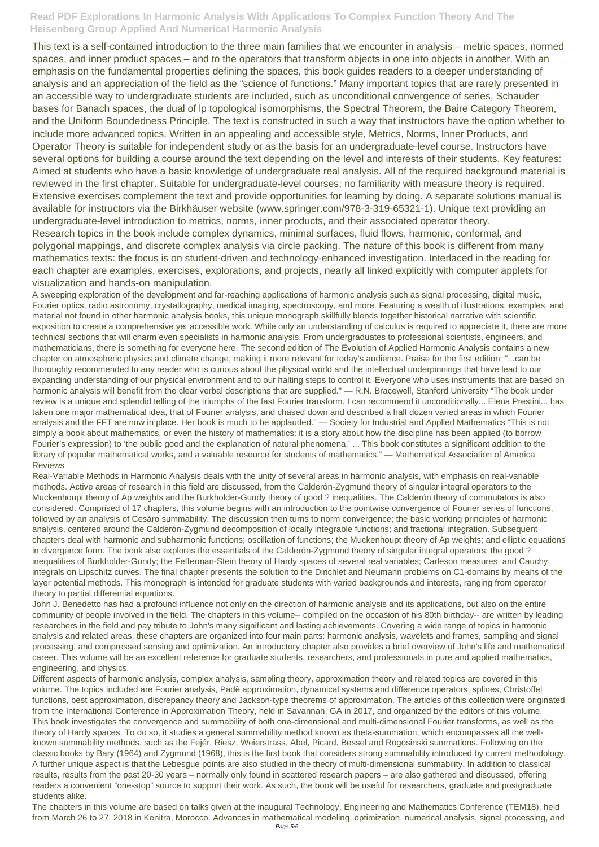This text is a self-contained introduction to the three main families that we encounter in analysis – metric spaces, normed spaces, and inner product spaces – and to the operators that transform objects in one into objects in another. With an emphasis on the fundamental properties defining the spaces, this book guides readers to a deeper understanding of analysis and an appreciation of the field as the "science of functions." Many important topics that are rarely presented in an accessible way to undergraduate students are included, such as unconditional convergence of series, Schauder bases for Banach spaces, the dual of lp topological isomorphisms, the Spectral Theorem, the Baire Category Theorem, and the Uniform Boundedness Principle. The text is constructed in such a way that instructors have the option whether to include more advanced topics. Written in an appealing and accessible style, Metrics, Norms, Inner Products, and Operator Theory is suitable for independent study or as the basis for an undergraduate-level course. Instructors have several options for building a course around the text depending on the level and interests of their students. Key features: Aimed at students who have a basic knowledge of undergraduate real analysis. All of the required background material is reviewed in the first chapter. Suitable for undergraduate-level courses; no familiarity with measure theory is required. Extensive exercises complement the text and provide opportunities for learning by doing. A separate solutions manual is available for instructors via the Birkhäuser website (www.springer.com/978-3-319-65321-1). Unique text providing an undergraduate-level introduction to metrics, norms, inner products, and their associated operator theory. Research topics in the book include complex dynamics, minimal surfaces, fluid flows, harmonic, conformal, and polygonal mappings, and discrete complex analysis via circle packing. The nature of this book is different from many mathematics texts: the focus is on student-driven and technology-enhanced investigation. Interlaced in the reading for each chapter are examples, exercises, explorations, and projects, nearly all linked explicitly with computer applets for visualization and hands-on manipulation.

A sweeping exploration of the development and far-reaching applications of harmonic analysis such as signal processing, digital music, Fourier optics, radio astronomy, crystallography, medical imaging, spectroscopy, and more. Featuring a wealth of illustrations, examples, and material not found in other harmonic analysis books, this unique monograph skillfully blends together historical narrative with scientific exposition to create a comprehensive yet accessible work. While only an understanding of calculus is required to appreciate it, there are more technical sections that will charm even specialists in harmonic analysis. From undergraduates to professional scientists, engineers, and mathematicians, there is something for everyone here. The second edition of The Evolution of Applied Harmonic Analysis contains a new chapter on atmospheric physics and climate change, making it more relevant for today's audience. Praise for the first edition: "...can be thoroughly recommended to any reader who is curious about the physical world and the intellectual underpinnings that have lead to our expanding understanding of our physical environment and to our halting steps to control it. Everyone who uses instruments that are based on harmonic analysis will benefit from the clear verbal descriptions that are supplied." — R.N. Bracewell, Stanford University "The book under review is a unique and splendid telling of the triumphs of the fast Fourier transform. I can recommend it unconditionally... Elena Prestini... has taken one major mathematical idea, that of Fourier analysis, and chased down and described a half dozen varied areas in which Fourier analysis and the FFT are now in place. Her book is much to be applauded." — Society for Industrial and Applied Mathematics "This is not simply a book about mathematics, or even the history of mathematics; it is a story about how the discipline has been applied (to borrow Fourier's expression) to 'the public good and the explanation of natural phenomena.' ... This book constitutes a significant addition to the library of popular mathematical works, and a valuable resource for students of mathematics." — Mathematical Association of America Reviews

Real-Variable Methods in Harmonic Analysis deals with the unity of several areas in harmonic analysis, with emphasis on real-variable methods. Active areas of research in this field are discussed, from the Calderón-Zygmund theory of singular integral operators to the Muckenhoupt theory of Ap weights and the Burkholder-Gundy theory of good ? inequalities. The Calderón theory of commutators is also considered. Comprised of 17 chapters, this volume begins with an introduction to the pointwise convergence of Fourier series of functions, followed by an analysis of Cesàro summability. The discussion then turns to norm convergence; the basic working principles of harmonic analysis, centered around the Calderón-Zygmund decomposition of locally integrable functions; and fractional integration. Subsequent chapters deal with harmonic and subharmonic functions; oscillation of functions; the Muckenhoupt theory of Ap weights; and elliptic equations in divergence form. The book also explores the essentials of the Calderón-Zygmund theory of singular integral operators; the good ? inequalities of Burkholder-Gundy; the Fefferman-Stein theory of Hardy spaces of several real variables; Carleson measures; and Cauchy integrals on Lipschitz curves. The final chapter presents the solution to the Dirichlet and Neumann problems on C1-domains by means of the layer potential methods. This monograph is intended for graduate students with varied backgrounds and interests, ranging from operator theory to partial differential equations.

John J. Benedetto has had a profound influence not only on the direction of harmonic analysis and its applications, but also on the entire community of people involved in the field. The chapters in this volume-- compiled on the occasion of his 80th birthday-- are written by leading researchers in the field and pay tribute to John's many significant and lasting achievements. Covering a wide range of topics in harmonic analysis and related areas, these chapters are organized into four main parts: harmonic analysis, wavelets and frames, sampling and signal

processing, and compressed sensing and optimization. An introductory chapter also provides a brief overview of John's life and mathematical career. This volume will be an excellent reference for graduate students, researchers, and professionals in pure and applied mathematics, engineering, and physics.

Different aspects of harmonic analysis, complex analysis, sampling theory, approximation theory and related topics are covered in this volume. The topics included are Fourier analysis, Padè approximation, dynamical systems and difference operators, splines, Christoffel functions, best approximation, discrepancy theory and Jackson-type theorems of approximation. The articles of this collection were originated from the International Conference in Approximation Theory, held in Savannah, GA in 2017, and organized by the editors of this volume. This book investigates the convergence and summability of both one-dimensional and multi-dimensional Fourier transforms, as well as the theory of Hardy spaces. To do so, it studies a general summability method known as theta-summation, which encompasses all the wellknown summability methods, such as the Fejér, Riesz, Weierstrass, Abel, Picard, Bessel and Rogosinski summations. Following on the classic books by Bary (1964) and Zygmund (1968), this is the first book that considers strong summability introduced by current methodology. A further unique aspect is that the Lebesgue points are also studied in the theory of multi-dimensional summability. In addition to classical results, results from the past 20-30 years – normally only found in scattered research papers – are also gathered and discussed, offering readers a convenient "one-stop" source to support their work. As such, the book will be useful for researchers, graduate and postgraduate students alike.

The chapters in this volume are based on talks given at the inaugural Technology, Engineering and Mathematics Conference (TEM18), held from March 26 to 27, 2018 in Kenitra, Morocco. Advances in mathematical modeling, optimization, numerical analysis, signal processing, and